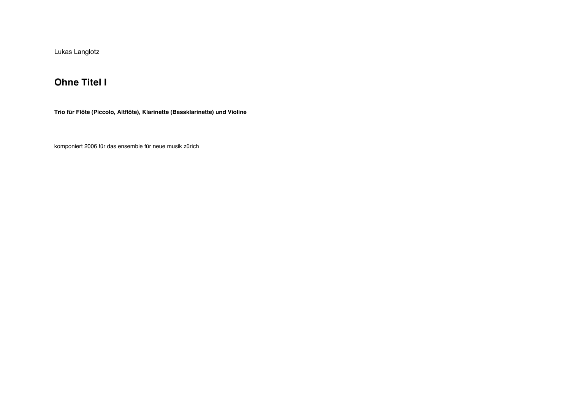Lukas Langlotz

## **Ohne Titel I**

**Trio für Flöte (Piccolo, Altflöte), Klarinette (Bassklarinette) und Violine**

komponiert 2006 für das ensemble für neue musik zürich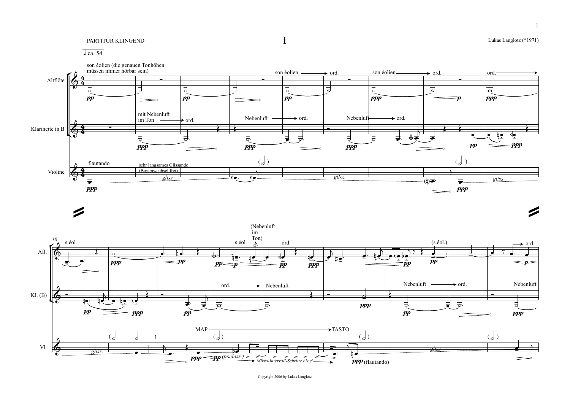PARTITUR KLINGEND

Lukas Langlotz (\*1971)

 $\overline{1}$ 



 $\mathbf{I}$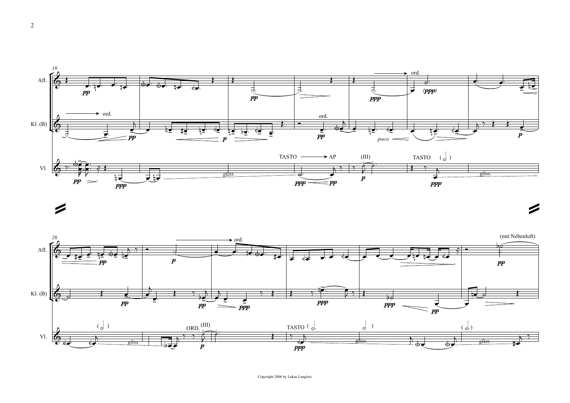



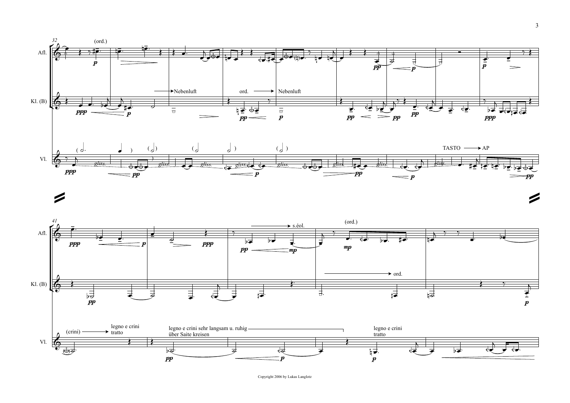



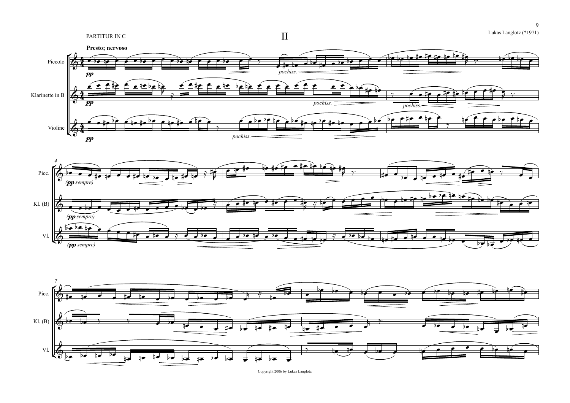



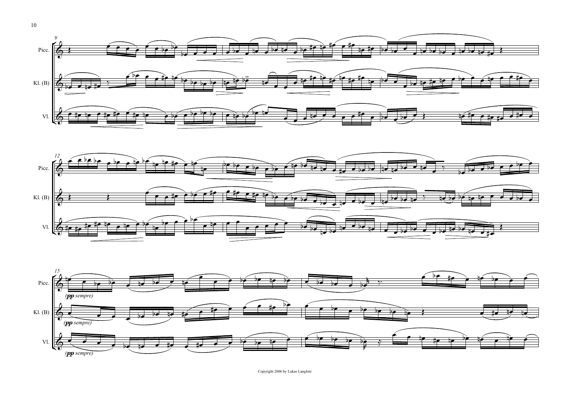



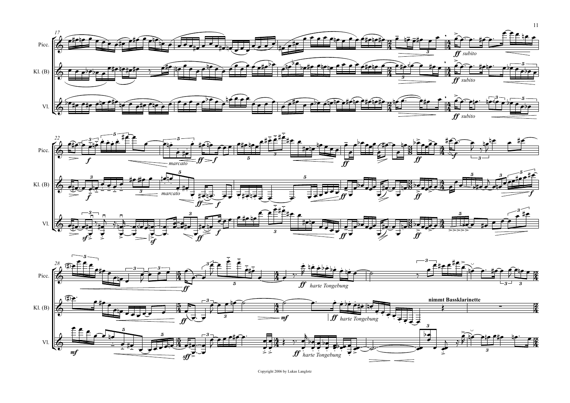



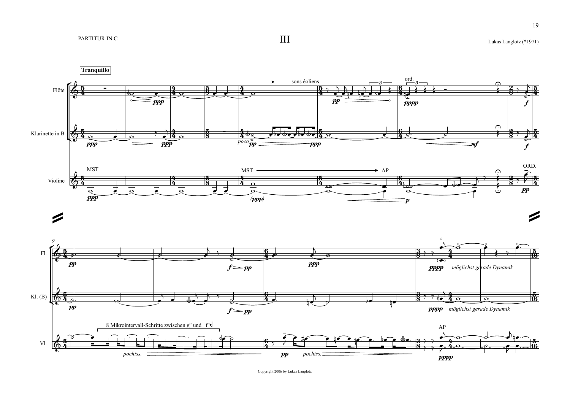$\prod$ 

19